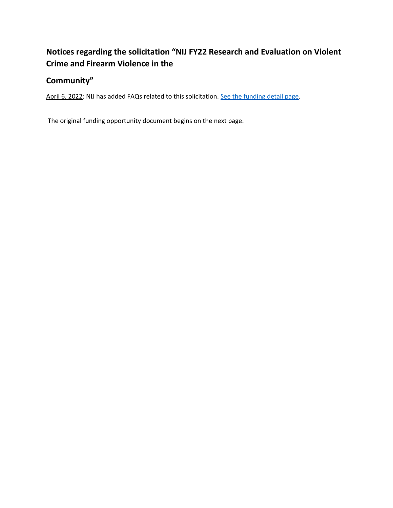# **Notices regarding the solicitation "NIJ FY22 Research and Evaluation on Violent Crime and Firearm Violence in the**

## **Community"**

April 6, 2022: NIJ has added FAQs related to this solicitation[. See the funding detail page.](https://nij.ojp.gov/funding/opportunities/O-NIJ-2022-171248)

The original funding opportunity document begins on the next page.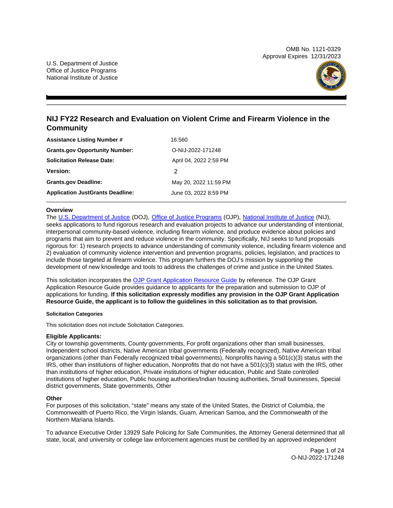OMB No. 1121-0329 Approval Expires 12/31/2023



## **NIJ FY22 Research and Evaluation on Violent Crime and Firearm Violence in the Community**

| <b>Assistance Listing Number #</b>      | 16.560                 |
|-----------------------------------------|------------------------|
| <b>Grants.gov Opportunity Number:</b>   | O-NIJ-2022-171248      |
| <b>Solicitation Release Date:</b>       | April 04, 2022 2:59 PM |
| <b>Version:</b>                         | 2                      |
| <b>Grants.gov Deadline:</b>             | May 20, 2022 11:59 PM  |
| <b>Application JustGrants Deadline:</b> | June 03, 2022 8:59 PM  |

## **Overview**

The [U.S. Department of Justice](https://www.usdoj.gov/) (DOJ), [Office of Justice Programs](https://www.ojp.usdoj.gov/) (OJP), [National Institute of Justice](https://nij.ojp.gov/) (NIJ), seeks applications to fund rigorous research and evaluation projects to advance our understanding of intentional, interpersonal community-based violence, including firearm violence, and produce evidence about policies and programs that aim to prevent and reduce violence in the community. Specifically, NIJ seeks to fund proposals rigorous for: 1) research projects to advance understanding of community violence, including firearm violence and 2) evaluation of community violence intervention and prevention programs, policies, legislation, and practices to include those targeted at firearm violence. This program furthers the DOJ's mission by supporting the development of new knowledge and tools to address the challenges of crime and justice in the United States.

This solicitation incorporates the [OJP Grant Application Resource Guide](https://www.ojp.gov/funding/Apply/Resources/Grant-App-Resource-Guide.htm) by reference. The OJP Grant Application Resource Guide provides guidance to applicants for the preparation and submission to OJP of applications for funding. **If this solicitation expressly modifies any provision in the OJP Grant Application Resource Guide, the applicant is to follow the guidelines in this solicitation as to that provision.** 

#### **Solicitation Categories**

This solicitation does not include Solicitation Categories.

## **Eligible Applicants:**

City or township governments, County governments, For profit organizations other than small businesses, Independent school districts, Native American tribal governments (Federally recognized), Native American tribal organizations (other than Federally recognized tribal governments), Nonprofits having a 501(c)(3) status with the IRS, other than institutions of higher education, Nonprofits that do not have a 501(c)(3) status with the IRS, other than institutions of higher education, Private institutions of higher education, Public and State controlled institutions of higher education, Public housing authorities/Indian housing authorities, Small businesses, Special district governments, State governments, Other

## **Other**

For purposes of this solicitation, "state" means any state of the United States, the District of Columbia, the Commonwealth of Puerto Rico, the Virgin Islands, Guam, American Samoa, and the Commonwealth of the Northern Mariana Islands.

To advance Executive Order 13929 Safe Policing for Safe Communities, the Attorney General determined that all state, local, and university or college law enforcement agencies must be certified by an approved independent

> Page 1 of 24 O-NIJ-2022-171248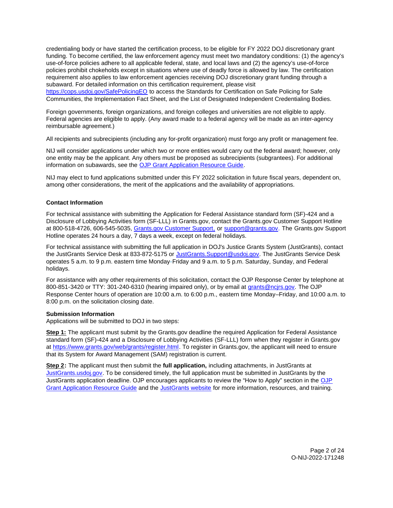<span id="page-2-0"></span>credentialing body or have started the certification process, to be eligible for FY 2022 DOJ discretionary grant funding. To become certified, the law enforcement agency must meet two mandatory conditions: (1) the agency's use-of-force policies adhere to all applicable federal, state, and local laws and (2) the agency's use-of-force policies prohibit chokeholds except in situations where use of deadly force is allowed by law. The certification requirement also applies to law enforcement agencies receiving DOJ discretionary grant funding through a subaward. For detailed information on this certification requirement, please visit

[https://cops.usdoj.gov/SafePolicingEO](https://cops.usdoj.gov/SafePolicingEO%20) to access the Standards for Certification on Safe Policing for Safe Communities, the Implementation Fact Sheet, and the List of Designated Independent Credentialing Bodies.

Foreign governments, foreign organizations, and foreign colleges and universities are not eligible to apply. Federal agencies are eligible to apply. (Any award made to a federal agency will be made as an inter-agency reimbursable agreement.)

All recipients and subrecipients (including any for-profit organization) must forgo any profit or management fee.

NIJ will consider applications under which two or more entities would carry out the federal award; however, only one entity may be the applicant. Any others must be proposed as subrecipients (subgrantees). For additional information on subawards, see the [OJP Grant Application Resource Guide.](https://www.ojp.gov/funding/Apply/Resources/Grant-App-Resource-Guide.htm)

NIJ may elect to fund applications submitted under this FY 2022 solicitation in future fiscal years, dependent on, among other considerations, the merit of the applications and the availability of appropriations.

## **Contact Information**

For technical assistance with submitting the Application for Federal Assistance standard form (SF)-424 and a Disclosure of Lobbying Activities form (SF-LLL) in [Grants.gov,](https://Grants.gov) contact the [Grants.gov](https://Grants.gov) Customer Support Hotline at 800-518-4726, 606-545-5035, [Grants.gov Customer Support,](https://www.grants.gov/web/grants/support.html) or [support@grants.gov.](mailto:support@grants.gov) The [Grants.gov](https://Grants.gov) Support Hotline operates 24 hours a day, 7 days a week, except on federal holidays.

For technical assistance with submitting the full application in DOJ's Justice Grants System (JustGrants), contact the JustGrants Service Desk at 833-872-5175 or [JustGrants.Support@usdoj.gov.](mailto:JustGrants.Support@usdoj.gov) The JustGrants Service Desk operates 5 a.m. to 9 p.m. eastern time Monday-Friday and 9 a.m. to 5 p.m. Saturday, Sunday, and Federal holidays.

For assistance with any other requirements of this solicitation, contact the OJP Response Center by telephone at 800-851-3420 or TTY: 301-240-6310 (hearing impaired only), or by email at [grants@ncjrs.gov.](mailto:grants@ncjrs.gov) The OJP Response Center hours of operation are 10:00 a.m. to 6:00 p.m., eastern time Monday–Friday, and 10:00 a.m. to 8:00 p.m. on the solicitation closing date.

#### **Submission Information**

Applications will be submitted to DOJ in two steps:

**Step 1:** The applicant must submit by the [Grants.gov](https://Grants.gov) deadline the required Application for Federal Assistance standard form (SF)-424 and a Disclosure of Lobbying Activities (SF-LLL) form when they register in [Grants.gov](https://Grants.gov)  at [https://www.grants.gov/web/grants/register.html.](https://www.grants.gov/web/grants/register.html) To register in [Grants.gov,](https://Grants.gov) the applicant will need to ensure that its System for Award Management (SAM) registration is current.

**Step 2:** The applicant must then submit the **full application,** including attachments, in JustGrants at [JustGrants.usdoj.gov.](https://justicegrants.usdoj.gov/) To be considered timely, the full application must be submitted in JustGrants by the JustGrants application deadline. [OJP](https://www.ojp.gov/funding/apply/ojp-grant-application-resource-guide#apply) encourages applicants to review the "How to Apply" section in the OJP [Grant Application Resource Guide](https://www.ojp.gov/funding/apply/ojp-grant-application-resource-guide#apply) and the [JustGrants website](https://justicegrants.usdoj.gov/news) for more information, resources, and training.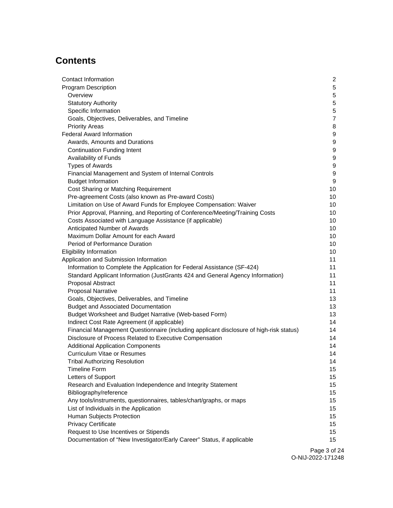# **Contents**

| Contact Information                                                                     | 2                |
|-----------------------------------------------------------------------------------------|------------------|
| <b>Program Description</b>                                                              | $5\phantom{.0}$  |
| Overview                                                                                | 5                |
| <b>Statutory Authority</b>                                                              | $\overline{5}$   |
| Specific Information                                                                    | $\overline{5}$   |
| Goals, Objectives, Deliverables, and Timeline                                           | $\overline{7}$   |
| <b>Priority Areas</b>                                                                   | 8                |
| <b>Federal Award Information</b>                                                        | 9                |
| Awards, Amounts and Durations                                                           | $\boldsymbol{9}$ |
| <b>Continuation Funding Intent</b>                                                      | 9                |
| Availability of Funds                                                                   | 9                |
| <b>Types of Awards</b>                                                                  | 9                |
| Financial Management and System of Internal Controls                                    | 9                |
| <b>Budget Information</b>                                                               | 9                |
| Cost Sharing or Matching Requirement                                                    | 10               |
| Pre-agreement Costs (also known as Pre-award Costs)                                     | 10               |
| Limitation on Use of Award Funds for Employee Compensation: Waiver                      | 10               |
| Prior Approval, Planning, and Reporting of Conference/Meeting/Training Costs            | 10               |
| Costs Associated with Language Assistance (if applicable)                               | 10               |
| Anticipated Number of Awards                                                            | 10               |
| Maximum Dollar Amount for each Award                                                    | 10               |
| Period of Performance Duration                                                          | 10               |
| <b>Eligibility Information</b>                                                          | 10               |
| Application and Submission Information                                                  | 11               |
| Information to Complete the Application for Federal Assistance (SF-424)                 | 11               |
| Standard Applicant Information (JustGrants 424 and General Agency Information)          | 11               |
| Proposal Abstract                                                                       | 11               |
| <b>Proposal Narrative</b>                                                               | 11               |
| Goals, Objectives, Deliverables, and Timeline                                           | 13               |
| <b>Budget and Associated Documentation</b>                                              | 13               |
| Budget Worksheet and Budget Narrative (Web-based Form)                                  | 13               |
| Indirect Cost Rate Agreement (if applicable)                                            | 14               |
| Financial Management Questionnaire (including applicant disclosure of high-risk status) | 14               |
| Disclosure of Process Related to Executive Compensation                                 | 14               |
| <b>Additional Application Components</b>                                                | 14               |
| <b>Curriculum Vitae or Resumes</b>                                                      | 14               |
| <b>Tribal Authorizing Resolution</b>                                                    | 14               |
| <b>Timeline Form</b>                                                                    | 15               |
| Letters of Support                                                                      | 15               |
| Research and Evaluation Independence and Integrity Statement                            | 15               |
| Bibliography/reference                                                                  | 15               |
| Any tools/instruments, questionnaires, tables/chart/graphs, or maps                     | 15               |
| List of Individuals in the Application                                                  | 15<br>15         |
| Human Subjects Protection<br><b>Privacy Certificate</b>                                 | 15               |
| Request to Use Incentives or Stipends                                                   | 15               |
| Documentation of "New Investigator/Early Career" Status, if applicable                  | 15               |
|                                                                                         |                  |

Page 3 of 24 O-NIJ-2022-171248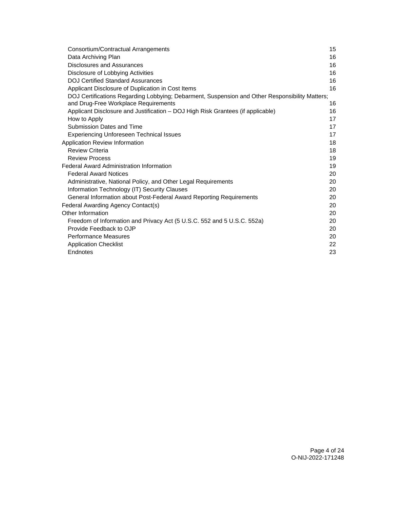| Consortium/Contractual Arrangements                                                            | 15 |
|------------------------------------------------------------------------------------------------|----|
| Data Archiving Plan                                                                            | 16 |
| Disclosures and Assurances                                                                     | 16 |
| Disclosure of Lobbying Activities                                                              | 16 |
| <b>DOJ Certified Standard Assurances</b>                                                       | 16 |
| Applicant Disclosure of Duplication in Cost Items                                              | 16 |
| DOJ Certifications Regarding Lobbying; Debarment, Suspension and Other Responsibility Matters; |    |
| and Drug-Free Workplace Requirements                                                           | 16 |
| Applicant Disclosure and Justification – DOJ High Risk Grantees (if applicable)                | 16 |
| How to Apply                                                                                   | 17 |
| Submission Dates and Time                                                                      | 17 |
| <b>Experiencing Unforeseen Technical Issues</b>                                                | 17 |
| Application Review Information                                                                 | 18 |
| <b>Review Criteria</b>                                                                         | 18 |
| <b>Review Process</b>                                                                          | 19 |
| <b>Federal Award Administration Information</b>                                                | 19 |
| <b>Federal Award Notices</b>                                                                   | 20 |
| Administrative, National Policy, and Other Legal Requirements                                  | 20 |
| Information Technology (IT) Security Clauses                                                   | 20 |
| General Information about Post-Federal Award Reporting Requirements                            | 20 |
| Federal Awarding Agency Contact(s)                                                             | 20 |
| Other Information                                                                              | 20 |
| Freedom of Information and Privacy Act (5 U.S.C. 552 and 5 U.S.C. 552a)                        | 20 |
| Provide Feedback to OJP                                                                        | 20 |
| <b>Performance Measures</b>                                                                    | 20 |
| <b>Application Checklist</b>                                                                   | 22 |
| Endnotes                                                                                       | 23 |
|                                                                                                |    |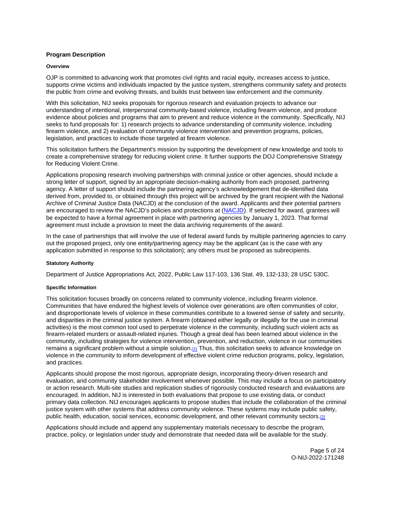## <span id="page-5-0"></span>**Program Description**

#### **Overview**

OJP is committed to advancing work that promotes civil rights and racial equity, increases access to justice, supports crime victims and individuals impacted by the justice system, strengthens community safety and protects the public from crime and evolving threats, and builds trust between law enforcement and the community.

With this solicitation, NIJ seeks proposals for rigorous research and evaluation projects to advance our understanding of intentional, interpersonal community-based violence, including firearm violence, and produce evidence about policies and programs that aim to prevent and reduce violence in the community. Specifically, NIJ seeks to fund proposals for: 1) research projects to advance understanding of community violence, including firearm violence, and 2) evaluation of community violence intervention and prevention programs, policies, legislation, and practices to include those targeted at firearm violence.

This solicitation furthers the Department's mission by supporting the development of new knowledge and tools to create a comprehensive strategy for reducing violent crime. It further supports the DOJ Comprehensive Strategy for Reducing Violent Crime.

Applications proposing research involving partnerships with criminal justice or other agencies, should include a strong letter of support, signed by an appropriate decision-making authority from each proposed, partnering agency. A letter of support should include the partnering agency's acknowledgement that de-identified data derived from, provided to, or obtained through this project will be archived by the grant recipient with the National Archive of Criminal Justice Data (NACJD) at the conclusion of the award. Applicants and their potential partners are encouraged to review the NACJD's policies and protections at ([NACJD\)](https://www.icpsr.umich.edu/web/pages/NACJD/archiving/deposit-nij-data.html). If selected for award, grantees will be expected to have a formal agreement in place with partnering agencies by January 1, 2023. That formal agreement must include a provision to meet the data archiving requirements of the award.

In the case of partnerships that will involve the use of federal award funds by multiple partnering agencies to carry out the proposed project, only one entity/partnering agency may be the applicant (as is the case with any application submitted in response to this solicitation); any others must be proposed as subrecipients.

## **Statutory Authority**

Department of Justice Appropriations Act, 2022, Public Law 117-103, 136 Stat. 49, 132-133; 28 USC 530C.

#### **Specific Information**

This solicitation focuses broadly on concerns related to community violence, including firearm violence. Communities that have endured the highest levels of violence over generations are often communities of color, and disproportionate levels of violence in these communities contribute to a lowered sense of safety and security, and disparities in the criminal justice system. A firearm (obtained either legally or illegally for the use in criminal activities) is the most common tool used to perpetrate violence in the community, including such violent acts as firearm-related murders or assault-related injuries. Though a great deal has been learned about violence in the community, including strategies for violence intervention, prevention, and reduction, violence in our communities remains a significant problem without a simple solution.[\[1\]](#page-23-0) Thus, this solicitation seeks to advance knowledge on violence in the community to inform development of effective violent crime reduction programs, policy, legislation, and practices.

Applicants should propose the most rigorous, appropriate design, incorporating theory-driven research and evaluation, and community stakeholder involvement whenever possible. This may include a focus on participatory or action research. Multi-site studies and replication studies of rigorously conducted research and evaluations are encouraged. In addition, NIJ is interested in both evaluations that propose to use existing data, or conduct primary data collection. NIJ encourages applicants to propose studies that include the collaboration of the criminal justice system with other systems that address community violence. These systems may include public safety, public health, education, social services, economic development, and other relevant community sectors.[2]

Applications should include and append any supplementary materials necessary to describe the program, practice, policy, or legislation under study and demonstrate that needed data will be available for the study.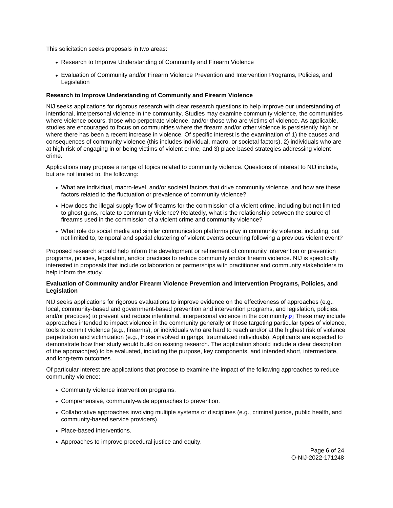This solicitation seeks proposals in two areas:

- Research to Improve Understanding of Community and Firearm Violence
- Evaluation of Community and/or Firearm Violence Prevention and Intervention Programs, Policies, and Legislation

## **Research to Improve Understanding of Community and Firearm Violence**

NIJ seeks applications for rigorous research with clear research questions to help improve our understanding of intentional, interpersonal violence in the community. Studies may examine community violence, the communities where violence occurs, those who perpetrate violence, and/or those who are victims of violence. As applicable, studies are encouraged to focus on communities where the firearm and/or other violence is persistently high or where there has been a recent increase in violence. Of specific interest is the examination of 1) the causes and consequences of community violence (this includes individual, macro, or societal factors), 2) individuals who are at high risk of engaging in or being victims of violent crime, and 3) place-based strategies addressing violent crime.

Applications may propose a range of topics related to community violence. Questions of interest to NIJ include, but are not limited to, the following:

- What are individual, macro-level, and/or societal factors that drive community violence, and how are these factors related to the fluctuation or prevalence of community violence?
- How does the illegal supply-flow of firearms for the commission of a violent crime, including but not limited to ghost guns, relate to community violence? Relatedly, what is the relationship between the source of firearms used in the commission of a violent crime and community violence?
- What role do social media and similar communication platforms play in community violence, including, but not limited to, temporal and spatial clustering of violent events occurring following a previous violent event?

Proposed research should help inform the development or refinement of community intervention or prevention programs, policies, legislation, and/or practices to reduce community and/or firearm violence. NIJ is specifically interested in proposals that include collaboration or partnerships with practitioner and community stakeholders to help inform the study.

## **Evaluation of Community and/or Firearm Violence Prevention and Intervention Programs, Policies, and Legislation**

NIJ seeks applications for rigorous evaluations to improve evidence on the effectiveness of approaches (e.g., local, community-based and government-based prevention and intervention programs, and legislation, policies, and/or practices) to prevent and reduce intentional, interpersonal violence in the community[.\[3\]](#page-24-0) These may include approaches intended to impact violence in the community generally or those targeting particular types of violence, tools to commit violence (e.g., firearms), or individuals who are hard to reach and/or at the highest risk of violence perpetration and victimization (e.g., those involved in gangs, traumatized individuals). Applicants are expected to demonstrate how their study would build on existing research. The application should include a clear description of the approach(es) to be evaluated, including the purpose, key components, and intended short, intermediate, and long-term outcomes.

Of particular interest are applications that propose to examine the impact of the following approaches to reduce community violence:

- Community violence intervention programs.
- Comprehensive, community-wide approaches to prevention.
- Collaborative approaches involving multiple systems or disciplines (e.g., criminal justice, public health, and community-based service providers).
- Place-based interventions.
- Approaches to improve procedural justice and equity.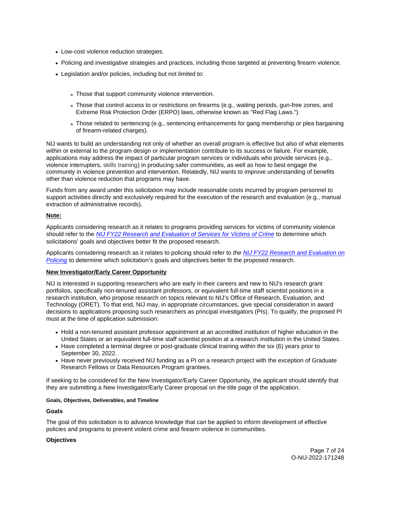- <span id="page-7-0"></span>Low-cost violence reduction strategies.
- Policing and investigative strategies and practices, including those targeted at preventing firearm violence.
- Legislation and/or policies, including but not limited to:
	- Those that support community violence intervention.
	- Those that control access to or restrictions on firearms (e.g., waiting periods, gun-free zones, and Extreme Risk Protection Order (ERPO) laws, otherwise known as "Red Flag Laws.").
	- Those related to sentencing (e.g., sentencing enhancements for gang membership or plea bargaining of firearm-related charges).

NIJ wants to build an understanding not only of whether an overall program is effective but also of what elements within or external to the program design or implementation contribute to its success or failure. For example, applications may address the impact of particular program services or individuals who provide services (e.g., violence interrupters, skills training) in producing safer communities, as well as how to best engage the community in violence prevention and intervention. Relatedly, NIJ wants to improve understanding of benefits other than violence reduction that programs may have.

Funds from any award under this solicitation may include reasonable costs incurred by program personnel to support activities directly and exclusively required for the execution of the research and evaluation (e.g., manual extraction of administrative records).

## **Note:**

Applicants considering research as it relates to programs providing services for victims of community violence should refer to the [NIJ FY22 Research and Evaluation of Services for Victims of Crime](https://nij.ojp.gov/funding/opportunities/o-nij-2022-171206) to determine which solicitations' goals and objectives better fit the proposed research.

Applicants considering research as it relates to policing should refer to the NIJ FY22 Research and Evaluation on [Policing](https://nij.ojp.gov/funding/opportunities/o-nij-2022-171247) to determine which solicitation's goals and objectives better fit the proposed research.

## **New Investigator/Early Career Opportunity**

NIJ is interested in supporting researchers who are early in their careers and new to NIJ's research grant portfolios, specifically non-tenured assistant professors, or equivalent full-time staff scientist positions in a research institution, who propose research on topics relevant to NIJ's Office of Research, Evaluation, and Technology (ORET). To that end, NIJ may, in appropriate circumstances, give special consideration in award decisions to applications proposing such researchers as principal investigators (PIs). To qualify, the proposed PI must at the time of application submission:

- Hold a non-tenured assistant professor appointment at an accredited institution of higher education in the United States or an equivalent full-time staff scientist position at a research institution in the United States.
- Have completed a terminal degree or post-graduate clinical training within the six (6) years prior to September 30, 2022.
- Have never previously received NIJ funding as a PI on a research project with the exception of Graduate Research Fellows or Data Resources Program grantees.

If seeking to be considered for the New Investigator/Early Career Opportunity, the applicant should identify that they are submitting a New Investigator/Early Career proposal on the title page of the application.

## **Goals, Objectives, Deliverables, and Timeline**

## **Goals**

The goal of this solicitation is to advance knowledge that can be applied to inform development of effective policies and programs to prevent violent crime and firearm violence in communities.

## **Objectives**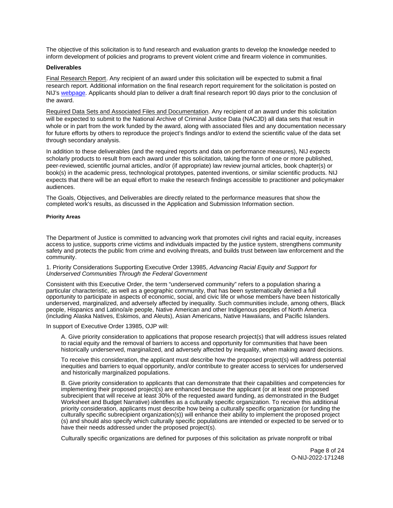<span id="page-8-0"></span>The objective of this solicitation is to fund research and evaluation grants to develop the knowledge needed to inform development of policies and programs to prevent violent crime and firearm violence in communities.

#### **Deliverables**

Final Research Report. Any recipient of an award under this solicitation will be expected to submit a final research report. Additional information on the final research report requirement for the solicitation is posted on NIJ's [webpage.](https://nij.ojp.gov/funding/research-development-and-evaluation-grant-award-requirements#xp5fv) Applicants should plan to deliver a draft final research report 90 days prior to the conclusion of the award.

Required Data Sets and Associated Files and Documentation. Any recipient of an award under this solicitation will be expected to submit to the National Archive of Criminal Justice Data (NACJD) all data sets that result in whole or in part from the work funded by the award, along with associated files and any documentation necessary for future efforts by others to reproduce the project's findings and/or to extend the scientific value of the data set through secondary analysis.

In addition to these deliverables (and the required reports and data on performance measures), NIJ expects scholarly products to result from each award under this solicitation, taking the form of one or more published, peer-reviewed, scientific journal articles, and/or (if appropriate) law review journal articles, book chapter(s) or book(s) in the academic press, technological prototypes, patented inventions, or similar scientific products. NIJ expects that there will be an equal effort to make the research findings accessible to practitioner and policymaker audiences.

The Goals, Objectives, and Deliverables are directly related to the performance measures that show the completed work's results, as discussed in the Application and Submission Information section.

#### **Priority Areas**

The Department of Justice is committed to advancing work that promotes civil rights and racial equity, increases access to justice, supports crime victims and individuals impacted by the justice system, strengthens community safety and protects the public from crime and evolving threats, and builds trust between law enforcement and the community.

1. Priority Considerations Supporting Executive Order 13985, Advancing Racial Equity and Support for Underserved Communities Through the Federal Government

Consistent with this Executive Order, the term "underserved community" refers to a population sharing a particular characteristic, as well as a geographic community, that has been systematically denied a full opportunity to participate in aspects of economic, social, and civic life or whose members have been historically underserved, marginalized, and adversely affected by inequality. Such communities include, among others, Black people, Hispanics and Latino/a/e people, Native American and other Indigenous peoples of North America (including Alaska Natives, Eskimos, and Aleuts), Asian Americans, Native Hawaiians, and Pacific Islanders.

In support of Executive Order 13985, OJP will:

A. Give priority consideration to applications that propose research project(s) that will address issues related to racial equity and the removal of barriers to access and opportunity for communities that have been historically underserved, marginalized, and adversely affected by inequality, when making award decisions.

To receive this consideration, the applicant must describe how the proposed project(s) will address potential inequities and barriers to equal opportunity, and/or contribute to greater access to services for underserved and historically marginalized populations.

B. Give priority consideration to applicants that can demonstrate that their capabilities and competencies for implementing their proposed project(s) are enhanced because the applicant (or at least one proposed subrecipient that will receive at least 30% of the requested award funding, as demonstrated in the Budget Worksheet and Budget Narrative) identifies as a culturally specific organization. To receive this additional priority consideration, applicants must describe how being a culturally specific organization (or funding the culturally specific subrecipient organization(s)) will enhance their ability to implement the proposed project (s) and should also specify which culturally specific populations are intended or expected to be served or to have their needs addressed under the proposed project(s).

Culturally specific organizations are defined for purposes of this solicitation as private nonprofit or tribal

Page 8 of 24 O-NIJ-2022-171248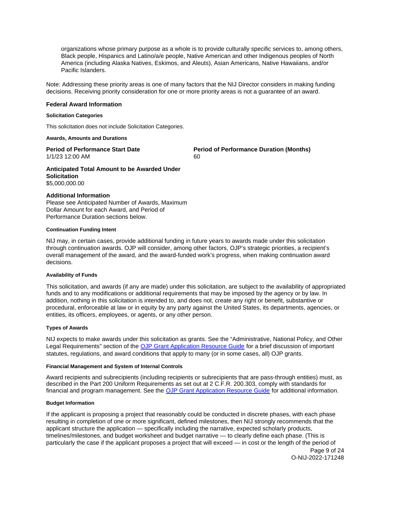<span id="page-9-0"></span>organizations whose primary purpose as a whole is to provide culturally specific services to, among others, Black people, Hispanics and Latino/a/e people, Native American and other Indigenous peoples of North America (including Alaska Natives, Eskimos, and Aleuts), Asian Americans, Native Hawaiians, and/or Pacific Islanders.

Note: Addressing these priority areas is one of many factors that the NIJ Director considers in making funding decisions. Receiving priority consideration for one or more priority areas is not a guarantee of an award.

#### **Federal Award Information**

#### **Solicitation Categories**

This solicitation does not include Solicitation Categories.

#### **Awards, Amounts and Durations**

1/1/23 12:00 AM 60

**Period of Performance Start Date**  Period of Performance Duration (Months)

**Anticipated Total Amount to be Awarded Under Solicitation**  \$5,000,000.00

#### **Additional Information**

Please see Anticipated Number of Awards, Maximum Dollar Amount for each Award, and Period of Performance Duration sections below.

#### **Continuation Funding Intent**

NIJ may, in certain cases, provide additional funding in future years to awards made under this solicitation through continuation awards. OJP will consider, among other factors, OJP's strategic priorities, a recipient's overall management of the award, and the award-funded work's progress, when making continuation award decisions.

#### **Availability of Funds**

This solicitation, and awards (if any are made) under this solicitation, are subject to the availability of appropriated funds and to any modifications or additional requirements that may be imposed by the agency or by law. In addition, nothing in this solicitation is intended to, and does not, create any right or benefit, substantive or procedural, enforceable at law or in equity by any party against the United States, its departments, agencies, or entities, its officers, employees, or agents, or any other person.

## **Types of Awards**

NIJ expects to make awards under this solicitation as grants. See the "Administrative, National Policy, and Other Legal Requirements" section of the [OJP Grant Application Resource Guide](https://www.ojp.gov/funding/apply/ojp-grant-application-resource-guide#administrative) for a brief discussion of important statutes, regulations, and award conditions that apply to many (or in some cases, all) OJP grants.

## **Financial Management and System of Internal Controls**

Award recipients and subrecipients (including recipients or subrecipients that are pass-through entities) must, as described in the Part 200 Uniform Requirements as set out at 2 C.F.R. 200.303, comply with standards for financial and program management. See the [OJP Grant Application Resource Guide](https://www.ojp.gov/funding/apply/ojp-grant-application-resource-guide#fm-internal-controls) for additional information.

#### **Budget Information**

If the applicant is proposing a project that reasonably could be conducted in discrete phases, with each phase resulting in completion of one or more significant, defined milestones, then NIJ strongly recommends that the applicant structure the application — specifically including the narrative, expected scholarly products, timelines/milestones, and budget worksheet and budget narrative — to clearly define each phase. (This is particularly the case if the applicant proposes a project that will exceed — in cost or the length of the period of

Page 9 of 24 O-NIJ-2022-171248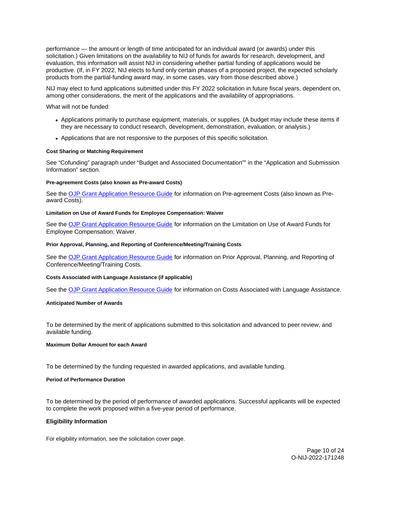<span id="page-10-0"></span>performance — the amount or length of time anticipated for an individual award (or awards) under this solicitation.) Given limitations on the availability to NIJ of funds for awards for research, development, and evaluation, this information will assist NIJ in considering whether partial funding of applications would be productive. (If, in FY 2022, NIJ elects to fund only certain phases of a proposed project, the expected scholarly products from the partial-funding award may, in some cases, vary from those described above.)

NIJ may elect to fund applications submitted under this FY 2022 solicitation in future fiscal years, dependent on, among other considerations, the merit of the applications and the availability of appropriations.

What will not be funded:

- Applications primarily to purchase equipment, materials, or supplies. (A budget may include these items if they are necessary to conduct research, development, demonstration, evaluation, or analysis.)
- Applications that are not responsive to the purposes of this specific solicitation.

## **Cost Sharing or Matching Requirement**

See "Cofunding" paragraph under "Budget and Associated Documentation"" in the "Application and Submission Information" section.

#### **Pre-agreement Costs (also known as Pre-award Costs)**

See the [OJP Grant Application Resource Guide](https://www.ojp.gov/funding/apply/ojp-grant-application-resource-guide#pre-agreement-costs) for information on Pre-agreement Costs (also known as Preaward Costs).

#### **Limitation on Use of Award Funds for Employee Compensation: Waiver**

See the [OJP Grant Application Resource Guide](https://www.ojp.gov/funding/apply/ojp-grant-application-resource-guide#limitation-use-award) for information on the Limitation on Use of Award Funds for Employee Compensation; Waiver.

#### **Prior Approval, Planning, and Reporting of Conference/Meeting/Training Costs**

See the [OJP Grant Application Resource Guide](https://www.ojp.gov/funding/apply/ojp-grant-application-resource-guide#prior-approval) for information on Prior Approval, Planning, and Reporting of Conference/Meeting/Training Costs.

#### **Costs Associated with Language Assistance (if applicable)**

See the [OJP Grant Application Resource Guide](https://www.ojp.gov/funding/apply/ojp-grant-application-resource-guide#costs-associated) for information on Costs Associated with Language Assistance.

#### **Anticipated Number of Awards**

To be determined by the merit of applications submitted to this solicitation and advanced to peer review, and available funding.

#### **Maximum Dollar Amount for each Award**

To be determined by the funding requested in awarded applications, and available funding.

#### **Period of Performance Duration**

To be determined by the period of performance of awarded applications. Successful applicants will be expected to complete the work proposed within a five-year period of performance.

#### **Eligibility Information**

For eligibility information, see the solicitation cover page.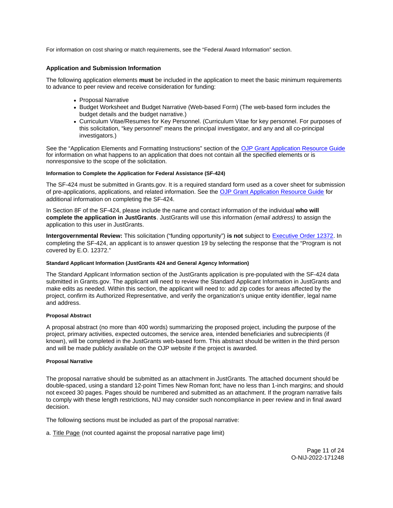<span id="page-11-0"></span>For information on cost sharing or match requirements, see the "Federal Award Information" section.

## **Application and Submission Information**

The following application elements **must** be included in the application to meet the basic minimum requirements to advance to peer review and receive consideration for funding:

- Proposal Narrative
- Budget Worksheet and Budget Narrative (Web-based Form) (The web-based form includes the budget details and the budget narrative.)
- Curriculum Vitae/Resumes for Key Personnel. (Curriculum Vitae for key personnel. For purposes of this solicitation, "key personnel" means the principal investigator, and any and all co-principal investigators.)

See the "Application Elements and Formatting Instructions" section of the OJP Grant Application Resource Guide for information on what happens to an application that does not contain all the specified elements or is nonresponsive to the scope of the solicitation.

## **Information to Complete the Application for Federal Assistance (SF-424)**

The SF-424 must be submitted in [Grants.gov.](https://Grants.gov) It is a required standard form used as a cover sheet for submission of pre-applications, applications, and related information. See the [OJP Grant Application Resource Guide](https://www.ojp.gov/funding/Apply/Resources/Grant-App-Resource-Guide.htm) for additional information on completing the SF-424.

In Section 8F of the SF-424, please include the name and contact information of the individual **who will complete the application in JustGrants**. JustGrants will use this information (email address) to assign the application to this user in JustGrants.

**Intergovernmental Review:** This solicitation ("funding opportunity") **is not** subject to [Executive Order 12372.](https://www.archives.gov/federal-register/codification/executive-order/12372.html) In completing the SF-424, an applicant is to answer question 19 by selecting the response that the "Program is not covered by E.O. 12372."

#### **Standard Applicant Information (JustGrants 424 and General Agency Information)**

The Standard Applicant Information section of the JustGrants application is pre-populated with the SF-424 data submitted in [Grants.gov](https://Grants.gov). The applicant will need to review the Standard Applicant Information in JustGrants and make edits as needed. Within this section, the applicant will need to: add zip codes for areas affected by the project, confirm its Authorized Representative, and verify the organization's unique entity identifier, legal name and address.

## **Proposal Abstract**

A proposal abstract (no more than 400 words) summarizing the proposed project, including the purpose of the project, primary activities, expected outcomes, the service area, intended beneficiaries and subrecipients (if known), will be completed in the JustGrants web-based form. This abstract should be written in the third person and will be made publicly available on the OJP website if the project is awarded.

#### **Proposal Narrative**

The proposal narrative should be submitted as an attachment in JustGrants. The attached document should be double-spaced, using a standard 12-point Times New Roman font; have no less than 1-inch margins; and should not exceed 30 pages. Pages should be numbered and submitted as an attachment. If the program narrative fails to comply with these length restrictions, NIJ may consider such noncompliance in peer review and in final award decision.

The following sections must be included as part of the proposal narrative:

a. Title Page (not counted against the proposal narrative page limit)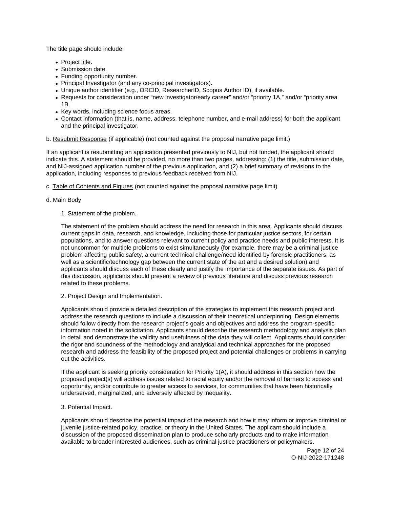The title page should include:

- Project title.
- Submission date.
- Funding opportunity number.
- Principal Investigator (and any co-principal investigators).
- Unique author identifier (e.g., ORCID, ResearcherID, Scopus Author ID), if available.
- Requests for consideration under "new investigator/early career" and/or "priority 1A," and/or "priority area 1B.
- Key words, including science focus areas.
- Contact information (that is, name, address, telephone number, and e-mail address) for both the applicant and the principal investigator.
- b. Resubmit Response (if applicable) (not counted against the proposal narrative page limit.)

If an applicant is resubmitting an application presented previously to NIJ, but not funded, the applicant should indicate this. A statement should be provided, no more than two pages, addressing: (1) the title, submission date, and NIJ-assigned application number of the previous application, and (2) a brief summary of revisions to the application, including responses to previous feedback received from NIJ.

c. Table of Contents and Figures (not counted against the proposal narrative page limit)

## d. Main Body

## 1. Statement of the problem.

The statement of the problem should address the need for research in this area. Applicants should discuss current gaps in data, research, and knowledge, including those for particular justice sectors, for certain populations, and to answer questions relevant to current policy and practice needs and public interests. It is not uncommon for multiple problems to exist simultaneously (for example, there may be a criminal justice problem affecting public safety, a current technical challenge/need identified by forensic practitioners, as well as a scientific/technology gap between the current state of the art and a desired solution) and applicants should discuss each of these clearly and justify the importance of the separate issues. As part of this discussion, applicants should present a review of previous literature and discuss previous research related to these problems.

2. Project Design and Implementation.

Applicants should provide a detailed description of the strategies to implement this research project and address the research questions to include a discussion of their theoretical underpinning. Design elements should follow directly from the research project's goals and objectives and address the program-specific information noted in the solicitation. Applicants should describe the research methodology and analysis plan in detail and demonstrate the validity and usefulness of the data they will collect. Applicants should consider the rigor and soundness of the methodology and analytical and technical approaches for the proposed research and address the feasibility of the proposed project and potential challenges or problems in carrying out the activities.

If the applicant is seeking priority consideration for Priority 1(A), it should address in this section how the proposed project(s) will address issues related to racial equity and/or the removal of barriers to access and opportunity, and/or contribute to greater access to services, for communities that have been historically underserved, marginalized, and adversely affected by inequality.

## 3. Potential Impact.

Applicants should describe the potential impact of the research and how it may inform or improve criminal or juvenile justice-related policy, practice, or theory in the United States. The applicant should include a discussion of the proposed dissemination plan to produce scholarly products and to make information available to broader interested audiences, such as criminal justice practitioners or policymakers.

> Page 12 of 24 O-NIJ-2022-171248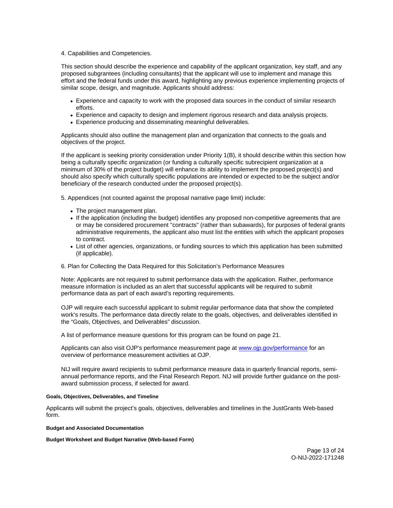<span id="page-13-0"></span>4. Capabilities and Competencies.

This section should describe the experience and capability of the applicant organization, key staff, and any proposed subgrantees (including consultants) that the applicant will use to implement and manage this effort and the federal funds under this award, highlighting any previous experience implementing projects of similar scope, design, and magnitude. Applicants should address:

- Experience and capacity to work with the proposed data sources in the conduct of similar research efforts.
- Experience and capacity to design and implement rigorous research and data analysis projects.
- Experience producing and disseminating meaningful deliverables.

Applicants should also outline the management plan and organization that connects to the goals and objectives of the project.

If the applicant is seeking priority consideration under Priority 1(B), it should describe within this section how being a culturally specific organization (or funding a culturally specific subrecipient organization at a minimum of 30% of the project budget) will enhance its ability to implement the proposed project(s) and should also specify which culturally specific populations are intended or expected to be the subject and/or beneficiary of the research conducted under the proposed project(s).

5. Appendices (not counted against the proposal narrative page limit) include:

- The project management plan.
- If the application (including the budget) identifies any proposed non-competitive agreements that are or may be considered procurement "contracts" (rather than subawards), for purposes of federal grants administrative requirements, the applicant also must list the entities with which the applicant proposes to contract.
- List of other agencies, organizations, or funding sources to which this application has been submitted (if applicable).

#### 6. Plan for Collecting the Data Required for this Solicitation's Performance Measures

Note: Applicants are not required to submit performance data with the application. Rather, performance measure information is included as an alert that successful applicants will be required to submit performance data as part of each award's reporting requirements.

OJP will require each successful applicant to submit regular performance data that show the completed work's results. The performance data directly relate to the goals, objectives, and deliverables identified in the "Goals, Objectives, and Deliverables" discussion.

A list of performance measure questions for this program can be found on page 21.

Applicants can also visit OJP's performance measurement page at [www.ojp.gov/performance](https://www.ojp.gov/performance) for an overview of performance measurement activities at OJP.

NIJ will require award recipients to submit performance measure data in quarterly financial reports, semiannual performance reports, and the Final Research Report. NIJ will provide further guidance on the postaward submission process, if selected for award.

#### **Goals, Objectives, Deliverables, and Timeline**

Applicants will submit the project's goals, objectives, deliverables and timelines in the JustGrants Web-based form.

**Budget and Associated Documentation** 

**Budget Worksheet and Budget Narrative (Web-based Form)**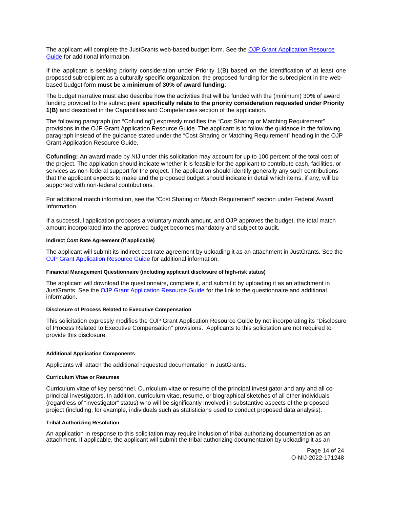<span id="page-14-0"></span>The applicant will complete the JustGrants web-based budget form. See the OJP Grant Application Resource [Guide](https://www.ojp.gov/funding/apply/ojp-grant-application-resource-guide#budget-prep) for additional information.

If the applicant is seeking priority consideration under Priority 1(B) based on the identification of at least one proposed subrecipient as a culturally specific organization, the proposed funding for the subrecipient in the webbased budget form **must be a minimum of 30% of award funding.** 

The budget narrative must also describe how the activities that will be funded with the (minimum) 30% of award funding provided to the subrecipient **specifically relate to the priority consideration requested under Priority 1(B)** and described in the Capabilities and Competencies section of the application.

The following paragraph (on "Cofunding") expressly modifies the "Cost Sharing or Matching Requirement" provisions in the OJP Grant Application Resource Guide. The applicant is to follow the guidance in the following paragraph instead of the guidance stated under the "Cost Sharing or Matching Requirement" heading in the OJP Grant Application Resource Guide.

**Cofunding:** An award made by NIJ under this solicitation may account for up to 100 percent of the total cost of the project. The application should indicate whether it is feasible for the applicant to contribute cash, facilities, or services as non-federal support for the project. The application should identify generally any such contributions that the applicant expects to make and the proposed budget should indicate in detail which items, if any, will be supported with non-federal contributions.

For additional match information, see the "Cost Sharing or Match Requirement" section under Federal Award Information.

If a successful application proposes a voluntary match amount, and OJP approves the budget, the total match amount incorporated into the approved budget becomes mandatory and subject to audit.

#### **Indirect Cost Rate Agreement (if applicable)**

The applicant will submit its indirect cost rate agreement by uploading it as an attachment in JustGrants. See the [OJP Grant Application Resource Guide](https://www.ojp.gov/funding/apply/ojp-grant-application-resource-guide#indirect-cost) for additional information.

#### **Financial Management Questionnaire (including applicant disclosure of high-risk status)**

The applicant will download the questionnaire, complete it, and submit it by uploading it as an attachment in JustGrants. See the [OJP Grant Application Resource Guide](https://www.ojp.gov/funding/apply/ojp-grant-application-resource-guide#fm-internal-controls-questionnaire) for the link to the questionnaire and additional information.

#### **Disclosure of Process Related to Executive Compensation**

This solicitation expressly modifies the OJP Grant Application Resource Guide by not incorporating its "Disclosure of Process Related to Executive Compensation" provisions. Applicants to this solicitation are not required to provide this disclosure.

#### **Additional Application Components**

Applicants will attach the additional requested documentation in JustGrants.

#### **Curriculum Vitae or Resumes**

Curriculum vitae of key personnel. Curriculum vitae or resume of the principal investigator and any and all coprincipal investigators. In addition, curriculum vitae, resume, or biographical sketches of all other individuals (regardless of "investigator" status) who will be significantly involved in substantive aspects of the proposed project (including, for example, individuals such as statisticians used to conduct proposed data analysis).

#### **Tribal Authorizing Resolution**

An application in response to this solicitation may require inclusion of tribal authorizing documentation as an attachment. If applicable, the applicant will submit the tribal authorizing documentation by uploading it as an

> Page 14 of 24 O-NIJ-2022-171248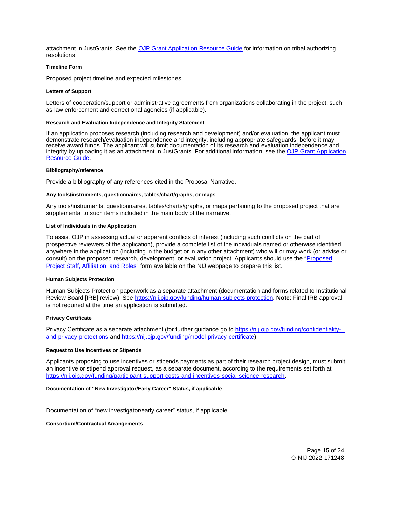<span id="page-15-0"></span>attachment in JustGrants. See the [OJP Grant Application Resource Guide](https://www.ojp.gov/funding/apply/ojp-grant-application-resource-guide#tribal-authorizing-resolution) for information on tribal authorizing resolutions.

#### **Timeline Form**

Proposed project timeline and expected milestones.

#### **Letters of Support**

Letters of cooperation/support or administrative agreements from organizations collaborating in the project, such as law enforcement and correctional agencies (if applicable).

#### **Research and Evaluation Independence and Integrity Statement**

If an application proposes research (including research and development) and/or evaluation, the applicant must demonstrate research/evaluation independence and integrity, including appropriate safeguards, before it may receive award funds. The applicant will submit documentation of its research and evaluation independence and integrity by uploading it as an attachment in JustGrants. For additional information, see the OJP Grant Application [Resource Guide.](https://www.ojp.gov/funding/apply/ojp-grant-application-resource-guide#research-evaluation)

#### **Bibliography/reference**

Provide a bibliography of any references cited in the Proposal Narrative.

#### **Any tools/instruments, questionnaires, tables/chart/graphs, or maps**

Any tools/instruments, questionnaires, tables/charts/graphs, or maps pertaining to the proposed project that are supplemental to such items included in the main body of the narrative.

#### **List of Individuals in the Application**

To assist OJP in assessing actual or apparent conflicts of interest (including such conflicts on the part of prospective reviewers of the application), provide a complete list of the individuals named or otherwise identified anywhere in the application (including in the budget or in any other attachment) who will or may work (or advise or consult) on the proposed research, development, or evaluation project. Applicants should use the "[Proposed](http://nij.ojp.gov/sites/g/files/xyckuh171/files/media/document/nij-project-staff-template.xlsx)  [Project Staff, Affiliation, and Roles"](http://nij.ojp.gov/sites/g/files/xyckuh171/files/media/document/nij-project-staff-template.xlsx) form available on the NIJ webpage to prepare this list.

#### **Human Subjects Protection**

Human Subjects Protection paperwork as a separate attachment (documentation and forms related to Institutional Review Board [IRB] review). See [https://nij.ojp.gov/funding/human-subjects-protection.](https://nij.ojp.gov/funding/human-subjects-protection) **Note**: Final IRB approval is not required at the time an application is submitted.

#### **Privacy Certificate**

Privacy Certificate as a separate attachment (for further guidance go to [https://nij.ojp.gov/funding/confidentiality](https://nij.ojp.gov/funding/confidentiality-and-privacy-protections)[and-privacy-protections](https://nij.ojp.gov/funding/confidentiality-and-privacy-protections) and [https://nij.ojp.gov/funding/model-privacy-certificate\)](https://nij.ojp.gov/funding/model-privacy-certificate).

#### **Request to Use Incentives or Stipends**

Applicants proposing to use incentives or stipends payments as part of their research project design, must submit an incentive or stipend approval request, as a separate document, according to the requirements set forth at [https://nij.ojp.gov/funding/participant-support-costs-and-incentives-social-science-research.](https://nij.ojp.gov/funding/participant-support-costs-and-incentives-social-science-research)

#### **Documentation of "New Investigator/Early Career" Status, if applicable**

Documentation of "new investigator/early career" status, if applicable.

**Consortium/Contractual Arrangements**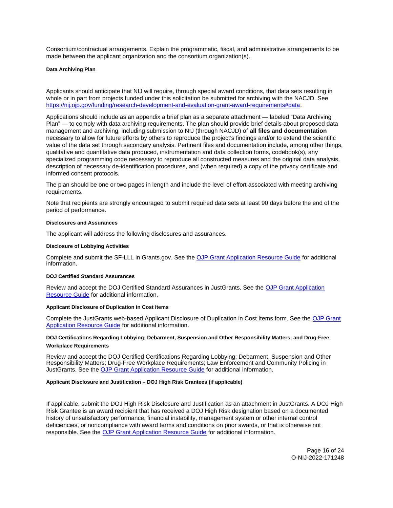<span id="page-16-0"></span>Consortium/contractual arrangements. Explain the programmatic, fiscal, and administrative arrangements to be made between the applicant organization and the consortium organization(s).

#### **Data Archiving Plan**

Applicants should anticipate that NIJ will require, through special award conditions, that data sets resulting in whole or in part from projects funded under this solicitation be submitted for archiving with the NACJD. See [https://nij.ojp.gov/funding/research-development-and-evaluation-grant-award-requirements#data.](https://nij.ojp.gov/funding/research-development-and-evaluation-grant-award-requirements#data)

Applications should include as an appendix a brief plan as a separate attachment — labeled "Data Archiving Plan" — to comply with data archiving requirements. The plan should provide brief details about proposed data management and archiving, including submission to NIJ (through NACJD) of **all files and documentation**  necessary to allow for future efforts by others to reproduce the project's findings and/or to extend the scientific value of the data set through secondary analysis. Pertinent files and documentation include, among other things, qualitative and quantitative data produced, instrumentation and data collection forms, codebook(s), any specialized programming code necessary to reproduce all constructed measures and the original data analysis, description of necessary de-identification procedures, and (when required) a copy of the privacy certificate and informed consent protocols.

The plan should be one or two pages in length and include the level of effort associated with meeting archiving requirements.

Note that recipients are strongly encouraged to submit required data sets at least 90 days before the end of the period of performance.

#### **Disclosures and Assurances**

The applicant will address the following disclosures and assurances.

## **Disclosure of Lobbying Activities**

Complete and submit the SF-LLL in [Grants.gov](https://Grants.gov). See the [OJP Grant Application Resource Guide](https://www.ojp.gov/funding/apply/ojp-grant-application-resource-guide#disclosure-lobby) for additional information.

#### **DOJ Certified Standard Assurances**

Review and accept the DOJ Certified Standard Assurances in JustGrants. See the [OJP Grant Application](https://www.ojp.gov/funding/apply/ojp-grant-application-resource-guide#administrative)  [Resource Guide](https://www.ojp.gov/funding/apply/ojp-grant-application-resource-guide#administrative) for additional information.

## **Applicant Disclosure of Duplication in Cost Items**

Complete the JustGrants web-based Applicant Disclosure of Duplication in Cost Items form. See the [OJP Grant](https://www.ojp.gov/funding/apply/ojp-grant-application-resource-guide#applicant-disclosure-pending-applications)  [Application Resource Guide](https://www.ojp.gov/funding/apply/ojp-grant-application-resource-guide#applicant-disclosure-pending-applications) for additional information.

## **DOJ Certifications Regarding Lobbying; Debarment, Suspension and Other Responsibility Matters; and Drug-Free Workplace Requirements**

Review and accept the DOJ Certified Certifications Regarding Lobbying; Debarment, Suspension and Other Responsibility Matters; Drug-Free Workplace Requirements; Law Enforcement and Community Policing in JustGrants. See the [OJP Grant Application Resource Guide](https://www.ojp.gov/funding/apply/ojp-grant-application-resource-guide#administrative) for additional information.

#### **Applicant Disclosure and Justification – DOJ High Risk Grantees (if applicable)**

If applicable, submit the DOJ High Risk Disclosure and Justification as an attachment in JustGrants. A DOJ High Risk Grantee is an award recipient that has received a DOJ High Risk designation based on a documented history of unsatisfactory performance, financial instability, management system or other internal control deficiencies, or noncompliance with award terms and conditions on prior awards, or that is otherwise not responsible. See the [OJP Grant Application Resource Guide](https://www.ojp.gov/funding/apply/ojp-grant-application-resource-guide) for additional information.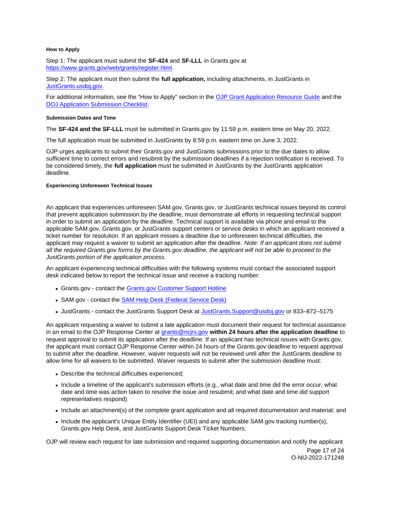## <span id="page-17-0"></span>**How to Apply**

Step 1: The applicant must submit the **SF-424** and **SF-LLL** in [Grants.gov](https://Grants.gov) at [https://www.grants.gov/web/grants/register.html.](https://www.grants.gov/web/grants/register.html)

Step 2: The applicant must then submit the **full application,** including attachments, in JustGrants in [JustGrants.usdoj.gov.](https://justicegrants.usdoj.gov/)

For additional information, see the "How to Apply" section in the [OJP Grant Application Resource Guide](https://www.ojp.gov/funding/apply/ojp-grant-application-resource-guide#apply) and the [DOJ Application Submission Checklist.](https://justicegrants.usdoj.gov/sites/g/files/xyckuh296/files/media/document/appln-submission-checklist.pdf)

#### **Submission Dates and Time**

The **SF-424 and the SF-LLL** must be submitted in [Grants.gov](https://Grants.gov) by 11:59 p.m. eastern time on May 20, 2022.

The full application must be submitted in JustGrants by 8:59 p.m. eastern time on June 3, 2022.

OJP urges applicants to submit their [Grants.gov](https://Grants.gov) and JustGrants submissions prior to the due dates to allow sufficient time to correct errors and resubmit by the submission deadlines if a rejection notification is received. To be considered timely, the **full application** must be submitted in JustGrants by the JustGrants application deadline.

## **Experiencing Unforeseen Technical Issues**

An applicant that experiences unforeseen SAM.gov, [Grants.gov](https://Grants.gov), or JustGrants technical issues beyond its control that prevent application submission by the deadline, must demonstrate all efforts in requesting technical support in order to submit an application by the deadline. Technical support is available via phone and email to the applicable SAM.gov, [Grants.gov,](https://Grants.gov) or JustGrants support centers or service desks in which an applicant received a ticket number for resolution. If an applicant misses a deadline due to unforeseen technical difficulties, the applicant may request a waiver to submit an application after the deadline. Note: If an applicant does not submit all the required [Grants.gov](https://Grants.gov) forms by the [Grants.gov](https://Grants.gov) deadline, the applicant will not be able to proceed to the JustGrants portion of the application process.

An applicant experiencing technical difficulties with the following systems must contact the associated support desk indicated below to report the technical issue and receive a tracking number:

- [Grants.gov](https://Grants.gov)  contact the [Grants.gov Customer Support Hotline](https://www.grants.gov/web/grants/support.html)
- SAM.gov contact the **SAM Help Desk (Federal Service Desk)**
- JustGrants contact the JustGrants Support Desk at [JustGrants.Support@usdoj.gov](mailto:JustGrants.Support@usdoj.gov) or 833–872–5175

An applicant requesting a waiver to submit a late application must document their request for technical assistance in an email to the OJP Response Center at [grants@ncjrs.gov](file:///C:/Users/local_Yehj/INetCache/Content.Outlook/20U4XBR7/grants@ncjrs.gov) **within 24 hours after the application deadline** to request approval to submit its application after the deadline. If an applicant has technical issues with [Grants.gov](https://Grants.gov), the applicant must contact OJP Response Center within 24 hours of the [Grants.gov](https://Grants.gov) deadline to request approval to submit after the deadline. However, waiver requests will not be reviewed until after the JustGrants deadline to allow time for all waivers to be submitted. Waiver requests to submit after the submission deadline must:

- Describe the technical difficulties experienced;
- Include a timeline of the applicant's submission efforts (e.g., what date and time did the error occur, what date and time was action taken to resolve the issue and resubmit; and what date and time did support representatives respond)
- Include an attachment(s) of the complete grant application and all required documentation and material; and
- Include the applicant's Unique Entity Identifier (UEI) and any applicable SAM.gov tracking number(s), [Grants.gov](https://Grants.gov) Help Desk, and JustGrants Support Desk Ticket Numbers.

OJP will review each request for late submission and required supporting documentation and notify the applicant

Page 17 of 24 O-NIJ-2022-171248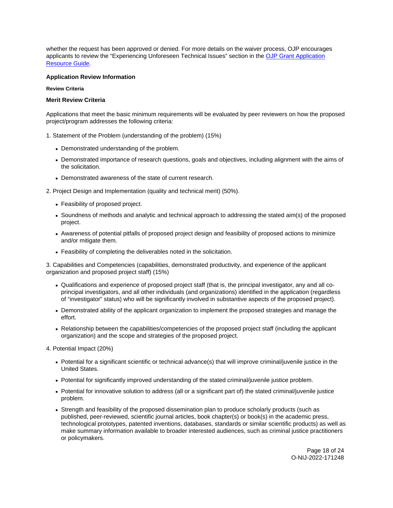<span id="page-18-0"></span>whether the request has been approved or denied. For more details on the waiver process, OJP encourages applicants to review the "Experiencing Unforeseen Technical Issues" section in the [OJP Grant Application](https://www.ojp.gov/funding/apply/ojp-grant-application-resource-guide#experiencing-unforeseen-technical-issues)  [Resource Guide](https://www.ojp.gov/funding/apply/ojp-grant-application-resource-guide#experiencing-unforeseen-technical-issues).

## **Application Review Information**

#### **Review Criteria**

#### **Merit Review Criteria**

Applications that meet the basic minimum requirements will be evaluated by peer reviewers on how the proposed project/program addresses the following criteria:

- 1. Statement of the Problem (understanding of the problem) (15%)
	- Demonstrated understanding of the problem.
	- Demonstrated importance of research questions, goals and objectives, including alignment with the aims of the solicitation.
	- Demonstrated awareness of the state of current research.
- 2. Project Design and Implementation (quality and technical merit) (50%).
	- Feasibility of proposed project.
	- Soundness of methods and analytic and technical approach to addressing the stated aim(s) of the proposed project.
	- Awareness of potential pitfalls of proposed project design and feasibility of proposed actions to minimize and/or mitigate them.
	- Feasibility of completing the deliverables noted in the solicitation.

3. Capabilities and Competencies (capabilities, demonstrated productivity, and experience of the applicant organization and proposed project staff) (15%)

- Qualifications and experience of proposed project staff (that is, the principal investigator, any and all coprincipal investigators, and all other individuals (and organizations) identified in the application (regardless of "investigator" status) who will be significantly involved in substantive aspects of the proposed project).
- Demonstrated ability of the applicant organization to implement the proposed strategies and manage the effort.
- Relationship between the capabilities/competencies of the proposed project staff (including the applicant organization) and the scope and strategies of the proposed project.
- 4. Potential Impact (20%)
	- Potential for a significant scientific or technical advance(s) that will improve criminal/juvenile justice in the United States.
	- Potential for significantly improved understanding of the stated criminal/juvenile justice problem.
	- Potential for innovative solution to address (all or a significant part of) the stated criminal/juvenile justice problem.
	- Strength and feasibility of the proposed dissemination plan to produce scholarly products (such as published, peer-reviewed, scientific journal articles, book chapter(s) or book(s) in the academic press, technological prototypes, patented inventions, databases, standards or similar scientific products) as well as make summary information available to broader interested audiences, such as criminal justice practitioners or policymakers.

Page 18 of 24 O-NIJ-2022-171248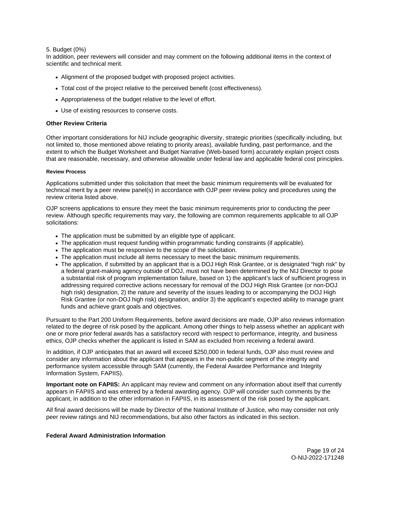## <span id="page-19-0"></span>5. Budget (0%)

In addition, peer reviewers will consider and may comment on the following additional items in the context of scientific and technical merit.

- Alignment of the proposed budget with proposed project activities.
- Total cost of the project relative to the perceived benefit (cost effectiveness).
- Appropriateness of the budget relative to the level of effort.
- Use of existing resources to conserve costs.

## **Other Review Criteria**

Other important considerations for NIJ include geographic diversity, strategic priorities (specifically including, but not limited to, those mentioned above relating to priority areas), available funding, past performance, and the extent to which the Budget Worksheet and Budget Narrative (Web-based form) accurately explain project costs that are reasonable, necessary, and otherwise allowable under federal law and applicable federal cost principles.

#### **Review Process**

Applications submitted under this solicitation that meet the basic minimum requirements will be evaluated for technical merit by a peer review panel(s) in accordance with OJP peer review policy and procedures using the review criteria listed above.

OJP screens applications to ensure they meet the basic minimum requirements prior to conducting the peer review. Although specific requirements may vary, the following are common requirements applicable to all OJP solicitations:

- The application must be submitted by an eligible type of applicant.
- The application must request funding within programmatic funding constraints (if applicable).
- The application must be responsive to the scope of the solicitation.
- The application must include all items necessary to meet the basic minimum requirements.
- The application, if submitted by an applicant that is a DOJ High Risk Grantee, or is designated "high risk" by a federal grant-making agency outside of DOJ, must not have been determined by the NIJ Director to pose a substantial risk of program implementation failure, based on 1) the applicant's lack of sufficient progress in addressing required corrective actions necessary for removal of the DOJ High Risk Grantee (or non-DOJ high risk) designation, 2) the nature and severity of the issues leading to or accompanying the DOJ High Risk Grantee (or non-DOJ high risk) designation, and/or 3) the applicant's expected ability to manage grant funds and achieve grant goals and objectives.

Pursuant to the Part 200 Uniform Requirements, before award decisions are made, OJP also reviews information related to the degree of risk posed by the applicant. Among other things to help assess whether an applicant with one or more prior federal awards has a satisfactory record with respect to performance, integrity, and business ethics, OJP checks whether the applicant is listed in SAM as excluded from receiving a federal award.

In addition, if OJP anticipates that an award will exceed \$250,000 in federal funds, OJP also must review and consider any information about the applicant that appears in the non-public segment of the integrity and performance system accessible through SAM (currently, the Federal Awardee Performance and Integrity Information System, FAPIIS).

**Important note on FAPIIS:** An applicant may review and comment on any information about itself that currently appears in FAPIIS and was entered by a federal awarding agency. OJP will consider such comments by the applicant, in addition to the other information in FAPIIS, in its assessment of the risk posed by the applicant.

All final award decisions will be made by Director of the National Institute of Justice, who may consider not only peer review ratings and NIJ recommendations, but also other factors as indicated in this section.

#### **Federal Award Administration Information**

Page 19 of 24 O-NIJ-2022-171248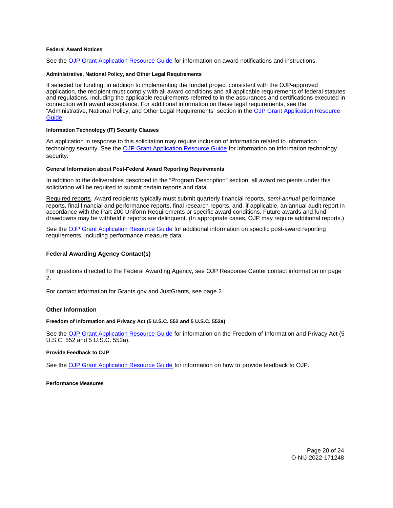## <span id="page-20-0"></span>**Federal Award Notices**

See the [OJP Grant Application Resource Guide](https://www.ojp.gov/funding/apply/ojp-grant-application-resource-guide#federal-award-notices) for information on award notifications and instructions.

#### **Administrative, National Policy, and Other Legal Requirements**

If selected for funding, in addition to implementing the funded project consistent with the OJP-approved application, the recipient must comply with all award conditions and all applicable requirements of federal statutes and regulations, including the applicable requirements referred to in the assurances and certifications executed in connection with award acceptance. For additional information on these legal requirements, see the "Administrative, National Policy, and Other Legal Requirements" section in the [OJP Grant Application Resource](https://www.ojp.gov/funding/apply/ojp-grant-application-resource-guide#administrative)  [Guide.](https://www.ojp.gov/funding/apply/ojp-grant-application-resource-guide#administrative)

#### **Information Technology (IT) Security Clauses**

An application in response to this solicitation may require inclusion of information related to information technology security. See the [OJP Grant Application Resource Guide](https://www.ojp.gov/funding/apply/ojp-grant-application-resource-guide#information-technology) for information on information technology security.

#### **General Information about Post-Federal Award Reporting Requirements**

In addition to the deliverables described in the "Program Description" section, all award recipients under this solicitation will be required to submit certain reports and data.

Required reports. Award recipients typically must submit quarterly financial reports, semi-annual performance reports, final financial and performance reports, final research reports, and, if applicable, an annual audit report in accordance with the Part 200 Uniform Requirements or specific award conditions. Future awards and fund drawdowns may be withheld if reports are delinquent. (In appropriate cases, OJP may require additional reports.)

See the [OJP Grant Application Resource Guide](https://www.ojp.gov/funding/apply/ojp-grant-application-resource-guide#general-information) for additional information on specific post-award reporting requirements, including performance measure data.

#### **Federal Awarding Agency Contact(s)**

For questions directed to the Federal Awarding Agency, see OJP Response Center contact information on page 2.

For contact information for [Grants.gov](https://Grants.gov) and JustGrants, see page 2.

#### **Other Information**

## **Freedom of Information and Privacy Act (5 U.S.C. 552 and 5 U.S.C. 552a)**

See the [OJP Grant Application Resource Guide](https://www.ojp.gov/funding/apply/ojp-grant-application-resource-guide#foia) for information on the Freedom of Information and Privacy Act (5 U.S.C. 552 and 5 U.S.C. 552a).

#### **Provide Feedback to OJP**

See the [OJP Grant Application Resource Guide](https://www.ojp.gov/funding/apply/ojp-grant-application-resource-guide#feedback) for information on how to provide feedback to OJP.

**Performance Measures** 

Page 20 of 24 O-NIJ-2022-171248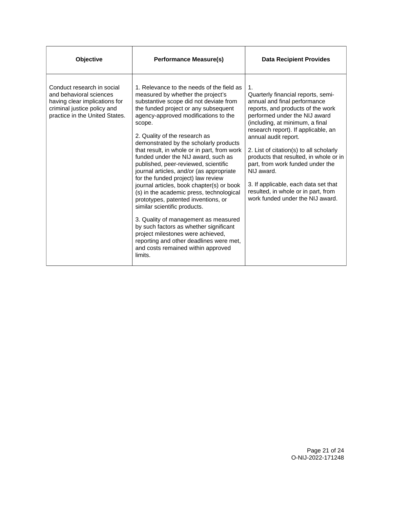| Objective                                                                                                                                               | <b>Performance Measure(s)</b>                                                                                                                                                                                                                                                                                                                                                                                                                                                                                                                                                                                                                                                                                                                                                                                                                                                                    | <b>Data Recipient Provides</b>                                                                                                                                                                                                                                                                                                                                                                                                                                                                             |
|---------------------------------------------------------------------------------------------------------------------------------------------------------|--------------------------------------------------------------------------------------------------------------------------------------------------------------------------------------------------------------------------------------------------------------------------------------------------------------------------------------------------------------------------------------------------------------------------------------------------------------------------------------------------------------------------------------------------------------------------------------------------------------------------------------------------------------------------------------------------------------------------------------------------------------------------------------------------------------------------------------------------------------------------------------------------|------------------------------------------------------------------------------------------------------------------------------------------------------------------------------------------------------------------------------------------------------------------------------------------------------------------------------------------------------------------------------------------------------------------------------------------------------------------------------------------------------------|
| Conduct research in social<br>and behavioral sciences<br>having clear implications for<br>criminal justice policy and<br>practice in the United States. | 1. Relevance to the needs of the field as<br>measured by whether the project's<br>substantive scope did not deviate from<br>the funded project or any subsequent<br>agency-approved modifications to the<br>scope.<br>2. Quality of the research as<br>demonstrated by the scholarly products<br>that result, in whole or in part, from work<br>funded under the NIJ award, such as<br>published, peer-reviewed, scientific<br>journal articles, and/or (as appropriate<br>for the funded project) law review<br>journal articles, book chapter(s) or book<br>(s) in the academic press, technological<br>prototypes, patented inventions, or<br>similar scientific products.<br>3. Quality of management as measured<br>by such factors as whether significant<br>project milestones were achieved,<br>reporting and other deadlines were met,<br>and costs remained within approved<br>limits. | 1.<br>Quarterly financial reports, semi-<br>annual and final performance<br>reports, and products of the work<br>performed under the NIJ award<br>(including, at minimum, a final<br>research report). If applicable, an<br>annual audit report.<br>2. List of citation(s) to all scholarly<br>products that resulted, in whole or in<br>part, from work funded under the<br>NIJ award.<br>3. If applicable, each data set that<br>resulted, in whole or in part, from<br>work funded under the NIJ award. |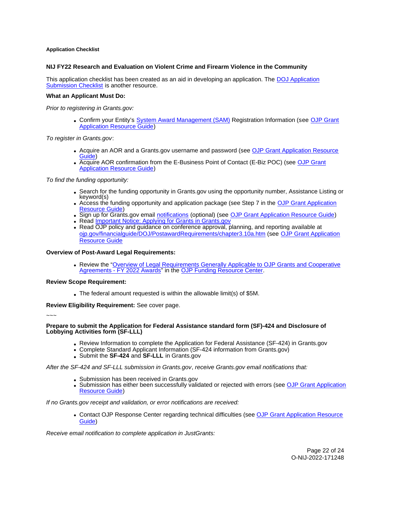## <span id="page-22-0"></span>**Application Checklist**

## **NIJ FY22 Research and Evaluation on Violent Crime and Firearm Violence in the Community**

This application checklist has been created as an aid in developing an application. The [DOJ Application](https://justicegrants.usdoj.gov/sites/g/files/xyckuh296/files/media/document/appln-submission-checklist.pdf)  [Submission Checklist](https://justicegrants.usdoj.gov/sites/g/files/xyckuh296/files/media/document/appln-submission-checklist.pdf) is another resource.

## **What an Applicant Must Do:**

Prior to registering in [Grants.gov:](https://Grants.gov)

Confirm your Entity's [System Award Management \(SAM\)](https://sam.gov/SAM/) Registration Information (see [OJP Grant](https://www.ojp.gov/funding/apply/ojp-grant-application-resource-guide#apply)  [Application Resource Guide\)](https://www.ojp.gov/funding/apply/ojp-grant-application-resource-guide#apply)

To register in [Grants.gov](https://Grants.gov):

- Acquire an AOR and a [Grants.gov](https://Grants.gov) username and password (see OJP Grant Application Resource [Guide\)](https://www.ojp.gov/funding/apply/ojp-grant-application-resource-guide#apply)
- Acquire AOR confirmation from the E-Business Point of Contact (E-Biz POC) (see [OJP Grant](https://www.ojp.gov/funding/apply/ojp-grant-application-resource-guide#apply)  [Application Resource Guide\)](https://www.ojp.gov/funding/apply/ojp-grant-application-resource-guide#apply)

To find the funding opportunity:

- Search for the funding opportunity in [Grants.gov](https://Grants.gov) using the opportunity number, Assistance Listing or keyword(s)
- Access the funding opportunity and application package (see Step 7 in the [OJP Grant Application](https://www.ojp.gov/funding/apply/ojp-grant-application-resource-guide#apply)  [Resource Guide\)](https://www.ojp.gov/funding/apply/ojp-grant-application-resource-guide#apply)
- Sign up for [Grants.gov](https://Grants.gov) email [notifications](https://www.grants.gov/web/grants/manage-subscriptions.html) (optional) (see [OJP Grant Application Resource Guide\)](https://www.ojp.gov/funding/apply/ojp-grant-application-resource-guide#apply)
- Read **Important Notice: Applying for Grants in Grants.gov**
- Read OJP policy and guidance on conference approval, planning, and reporting available at [ojp.gov/financialguide/DOJ/PostawardRequirements/chapter3.10a.htm](https://ojp.gov/financialguide/DOJ/PostawardRequirements/chapter3.10a.htm) (see [OJP Grant Application](https://www.ojp.gov/funding/apply/ojp-grant-application-resource-guide#prior-approval)  [Resource Guide](https://www.ojp.gov/funding/apply/ojp-grant-application-resource-guide#prior-approval)

## **Overview of Post-Award Legal Requirements:**

Review the ["Overview of Legal Requirements Generally Applicable to OJP Grants and Cooperative](https://www.ojp.gov/funding/explore/legal-overview-awards)  [Agreements - FY 2022 Awards"](https://www.ojp.gov/funding/explore/legal-overview-awards) in the [OJP Funding Resource Center.](https://www.ojp.gov/funding/explore/legal-overview-awards)

#### **Review Scope Requirement:**

The federal amount requested is within the allowable limit(s) of \$5M.

**Review Eligibility Requirement:** See cover page.

~~~

## **Prepare to submit the Application for Federal Assistance standard form (SF)-424 and Disclosure of Lobbying Activities form (SF-LLL)**

- Review Information to complete the Application for Federal Assistance (SF-424) in [Grants.gov](https://Grants.gov)
- Complete Standard Applicant Information (SF-424 information from [Grants.gov\)](https://Grants.gov)
- Submit the **SF-424** and **SF-LLL** in [Grants.gov](https://Grants.gov)

After the SF-424 and SF-LLL submission in [Grants.gov](https://Grants.gov), receive [Grants.gov](https://Grants.gov) email notifications that:

- Submission has been received in [Grants.gov](https://Grants.gov)
- Submission has either been successfully validated or rejected with errors (see [OJP Grant Application](https://www.ojp.gov/funding/apply/ojp-grant-application-resource-guide#apply)  [Resource Guide\)](https://www.ojp.gov/funding/apply/ojp-grant-application-resource-guide#apply)

If no [Grants.gov](https://Grants.gov) receipt and validation, or error notifications are received:

Contact OJP Response Center regarding technical difficulties (see [OJP Grant Application Resource](https://www.ojp.gov/funding/apply/ojp-grant-application-resource-guide#apply)  [Guide\)](https://www.ojp.gov/funding/apply/ojp-grant-application-resource-guide#apply)

Receive email notification to complete application in JustGrants: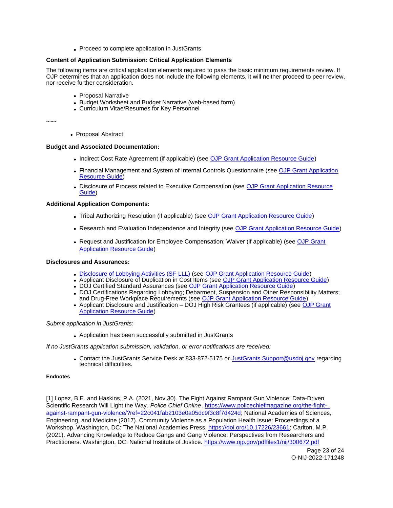• Proceed to complete application in JustGrants

## <span id="page-23-0"></span>**Content of Application Submission: Critical Application Elements**

The following items are critical application elements required to pass the basic minimum requirements review. If OJP determines that an application does not include the following elements, it will neither proceed to peer review, nor receive further consideration.

- Proposal Narrative
- Budget Worksheet and Budget Narrative (web-based form)
- Curriculum Vitae/Resumes for Key Personnel

~~~

• Proposal Abstract

## **Budget and Associated Documentation:**

- Indirect Cost Rate Agreement (if applicable) (see [OJP Grant Application Resource Guide\)](https://www.ojp.gov/funding/apply/ojp-grant-application-resource-guide#indirect-cost)
- Financial Management and System of Internal Controls Questionnaire (see [OJP Grant Application](https://www.ojp.gov/funding/apply/ojp-grant-application-resource-guide#fm-internal-controls-questionnaire)  [Resource Guide\)](https://www.ojp.gov/funding/apply/ojp-grant-application-resource-guide#fm-internal-controls-questionnaire)
- Disclosure of Process related to Executive Compensation (see [OJP Grant Application Resource](https://www.ojp.gov/funding/apply/ojp-grant-application-resource-guide#disclosure-process-executive)  [Guide\)](https://www.ojp.gov/funding/apply/ojp-grant-application-resource-guide#disclosure-process-executive)

## **Additional Application Components:**

- Tribal Authorizing Resolution (if applicable) (see [OJP Grant Application Resource Guide\)](https://www.ojp.gov/funding/apply/ojp-grant-application-resource-guide#tribal-authorizing-resolution)
- Research and Evaluation Independence and Integrity (see [OJP Grant Application Resource Guide\)](https://www.ojp.gov/funding/apply/ojp-grant-application-resource-guide#research-evaluation)
- Request and Justification for Employee Compensation; Waiver (if applicable) (see OJP Grant [Application Resource Guide\)](https://www.ojp.gov/funding/apply/ojp-grant-application-resource-guide#limitation-use-award)

## **Disclosures and Assurances:**

- [Disclosure of Lobbying Activities \(SF-LLL\)](https://ojp.gov/funding/Apply/Resources/Disclosure.pdf) (see [OJP Grant Application Resource Guide\)](https://www.ojp.gov/funding/apply/ojp-grant-application-resource-guide#disclosure-lobby)
- Applicant Disclosure of Duplication in Cost Items (see [OJP Grant Application Resource Guide\)](https://www.ojp.gov/funding/apply/ojp-grant-application-resource-guide#applicant-disclosure-pending-applications)
- DOJ Certified Standard Assurances (see [OJP Grant Application Resource Guide\)](https://www.ojp.gov/funding/apply/ojp-grant-application-resource-guide#administrative)
- DOJ Certifications Regarding Lobbying; Debarment, Suspension and Other Responsibility Matters; and Drug-Free Workplace Requirements (see [OJP Grant Application Resource Guide\)](https://www.ojp.gov/funding/apply/ojp-grant-application-resource-guide#administrative)
- Applicant Disclosure and Justification DOJ High Risk Grantees (if applicable) (see [OJP Grant](https://www.ojp.gov/funding/apply/ojp-grant-application-resource-guide#applicant-disclosure-justification)  [Application Resource Guide\)](https://www.ojp.gov/funding/apply/ojp-grant-application-resource-guide#applicant-disclosure-justification)

## Submit application in JustGrants:

Application has been successfully submitted in JustGrants

## If no JustGrants application submission, validation, or error notifications are received:

• Contact the JustGrants Service Desk at 833-872-5175 or [JustGrants.Support@usdoj.gov](mailto:JustGrants.Support@usdoj.gov) regarding technical difficulties.

## **Endnotes**

[1] Lopez, B.E. and Haskins, P.A. (2021, Nov 30). The Fight Against Rampant Gun Violence: Data-Driven Scientific Research Will Light the Way. Police Chief Online. [https://www.policechiefmagazine.org/the-fight](https://www.policechiefmagazine.org/the-fight-against-rampant-gun-violence/?ref=22c041fab2103e0a05dc9f3c8f7d424d)[against-rampant-gun-violence/?ref=22c041fab2103e0a05dc9f3c8f7d424d;](https://www.policechiefmagazine.org/the-fight-against-rampant-gun-violence/?ref=22c041fab2103e0a05dc9f3c8f7d424d) National Academies of Sciences, Engineering, and Medicine (2017). Community Violence as a Population Health Issue: Proceedings of a Workshop. Washington, DC: The National Academies Press. [https://doi.org/10.17226/23661;](https://doi.org/10.17226/23661) Carlton, M.P. (2021). Advancing Knowledge to Reduce Gangs and Gang Violence: Perspectives from Researchers and Practitioners. Washington, DC: National Institute of Justice.<https://www.ojp.gov/pdffiles1/nij/300672.pdf>